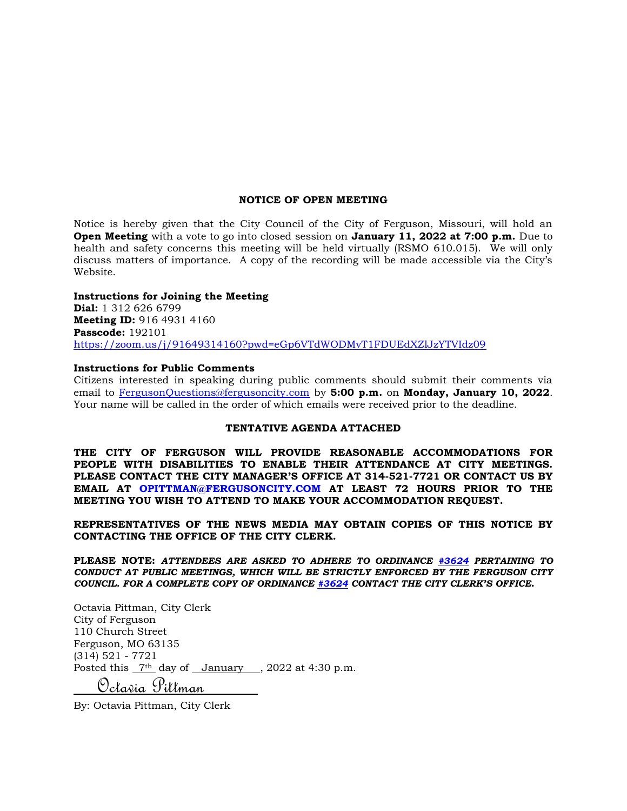#### **NOTICE OF OPEN MEETING**

Notice is hereby given that the City Council of the City of Ferguson, Missouri, will hold an **Open Meeting** with a vote to go into closed session on **January 11, 2022 at 7:00 p.m.** Due to health and safety concerns this meeting will be held virtually (RSMO 610.015). We will only discuss matters of importance. A copy of the recording will be made accessible via the City's Website.

#### **Instructions for Joining the Meeting**

**Dial:** 1 312 626 6799 **Meeting ID:** 916 4931 4160 **Passcode:** 192101 <https://zoom.us/j/91649314160?pwd=eGp6VTdWODMvT1FDUEdXZlJzYTVIdz09>

#### **Instructions for Public Comments**

Citizens interested in speaking during public comments should submit their comments via email to [FergusonQuestions@fergusoncity.com](mailto:FergusonQuestions@fergusoncity.com) by **5:00 p.m.** on **Monday, January 10, 2022**. Your name will be called in the order of which emails were received prior to the deadline.

#### **TENTATIVE AGENDA ATTACHED**

**THE CITY OF FERGUSON WILL PROVIDE REASONABLE ACCOMMODATIONS FOR PEOPLE WITH DISABILITIES TO ENABLE THEIR ATTENDANCE AT CITY MEETINGS. PLEASE CONTACT THE CITY MANAGER'S OFFICE AT 314-521-7721 OR CONTACT US BY EMAIL AT OPITTMAN@FERGUSONCITY.COM AT LEAST 72 HOURS PRIOR TO THE MEETING YOU WISH TO ATTEND TO MAKE YOUR ACCOMMODATION REQUEST.**

**REPRESENTATIVES OF THE NEWS MEDIA MAY OBTAIN COPIES OF THIS NOTICE BY CONTACTING THE OFFICE OF THE CITY CLERK.**

**PLEASE NOTE:** *ATTENDEES ARE ASKED TO ADHERE TO ORDINANCE [#3624](https://www.fergusoncity.com/DocumentCenter/View/3634/Ord-2016-3624-Amending-Chapt-2-addition-of-Sec-2-32-Conduct-at-Public-Mtgs) PERTAINING TO CONDUCT AT PUBLIC MEETINGS, WHICH WILL BE STRICTLY ENFORCED BY THE FERGUSON CITY COUNCIL. FOR A COMPLETE COPY OF ORDINANCE [#3624](https://www.fergusoncity.com/DocumentCenter/View/3634/Ord-2016-3624-Amending-Chapt-2-addition-of-Sec-2-32-Conduct-at-Public-Mtgs) CONTACT THE CITY CLERK'S OFFICE***.**

Octavia Pittman, City Clerk City of Ferguson 110 Church Street Ferguson, MO 63135 (314) 521 - 7721 Posted this  $7<sup>th</sup>$  day of January , 2022 at 4:30 p.m. Octavia Pittman

By: Octavia Pittman, City Clerk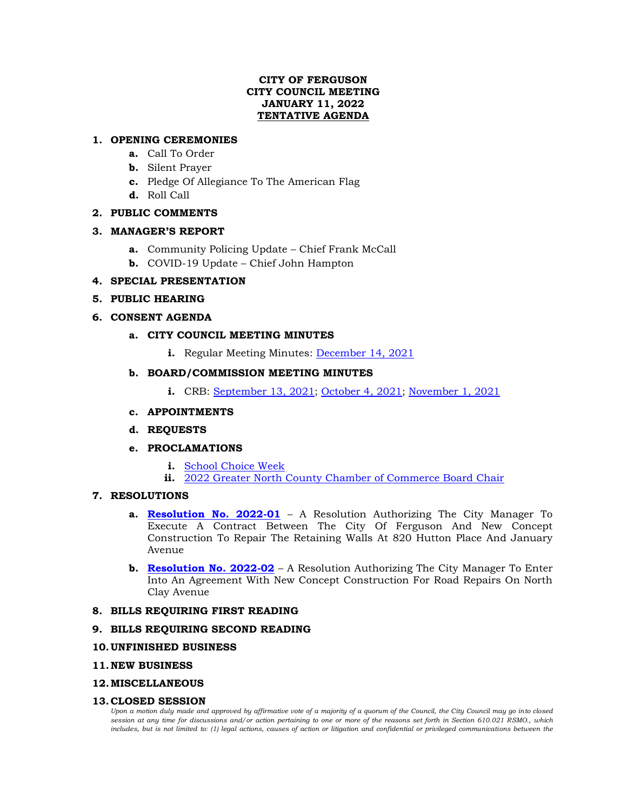# **CITY OF FERGUSON CITY COUNCIL MEETING JANUARY 11, 2022 TENTATIVE AGENDA**

# **1. OPENING CEREMONIES**

- **a.** Call To Order
- **b.** Silent Prayer
- **c.** Pledge Of Allegiance To The American Flag
- **d.** Roll Call

# **2. PUBLIC COMMENTS**

### **3. MANAGER'S REPORT**

- **a.** Community Policing Update Chief Frank McCall
- **b.** COVID-19 Update Chief John Hampton

# **4. SPECIAL PRESENTATION**

# **5. PUBLIC HEARING**

# **6. CONSENT AGENDA**

# **a. CITY COUNCIL MEETING MINUTES**

**i.** Regular Meeting Minutes: [December 14, 2021](https://www.fergusoncity.com/DocumentCenter/View/5483/Council-Meeting-Minutes-121421)

# **b. BOARD/COMMISSION MEETING MINUTES**

**i.** CRB: [September 13, 2021;](https://www.fergusoncity.com/DocumentCenter/View/5484/FCRB-Open-Meeting-Minutes-09132021) [October 4, 2021;](https://www.fergusoncity.com/DocumentCenter/View/5485/FCRB-Open-Meeting-Minutes-10042021) [November 1, 2021](https://www.fergusoncity.com/DocumentCenter/View/5486/FCRB-Open-Meeting-Minutes-11012021)

# **c. APPOINTMENTS**

**d. REQUESTS**

### **e. PROCLAMATIONS**

- **i.** [School Choice Week](https://www.fergusoncity.com/DocumentCenter/View/5487/PROC---2021-School-Choice-Week)
- **ii.** [2022 Greater North County Chamber of Commerce Board Chair](https://www.fergusoncity.com/DocumentCenter/View/5488/PROC---2022-no-co-chamber-board-chair---lathan)

# **7. RESOLUTIONS**

- **a. [Resolution No. 2022-01](https://www.fergusoncity.com/DocumentCenter/View/5498/Resolution-No-2022-01-New-Concept-retaining-walls)** A Resolution Authorizing The City Manager To Execute A Contract Between The City Of Ferguson And New Concept Construction To Repair The Retaining Walls At 820 Hutton Place And January Avenue
- **b. [Resolution No. 2022-02](https://www.fergusoncity.com/DocumentCenter/View/5499/Resolution-No-2022-02-New-Concept-repair-n-clay)** A Resolution Authorizing The City Manager To Enter Into An Agreement With New Concept Construction For Road Repairs On North Clay Avenue

### **8. BILLS REQUIRING FIRST READING**

### **9. BILLS REQUIRING SECOND READING**

### **10.UNFINISHED BUSINESS**

#### **11.NEW BUSINESS**

#### **12.MISCELLANEOUS**

### **13.CLOSED SESSION**

*Upon a motion duly made and approved by affirmative vote of a majority of a quorum of the Council, the City Council may go into closed session at any time for discussions and/or action pertaining to one or more of the reasons set forth in Section 610.021 RSMO., which*  includes, but is not limited to: (1) legal actions, causes of action or litigation and confidential or privileged communications between the